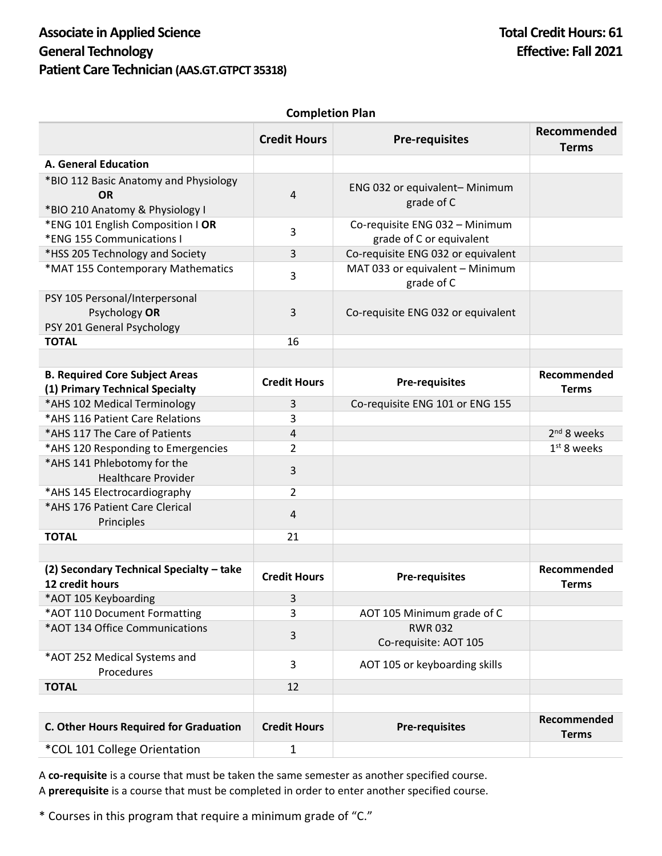## **Completion Plan**

|                                                                                       | <b>Credit Hours</b> | <b>Pre-requisites</b>                         | Recommended<br><b>Terms</b> |
|---------------------------------------------------------------------------------------|---------------------|-----------------------------------------------|-----------------------------|
| A. General Education                                                                  |                     |                                               |                             |
| *BIO 112 Basic Anatomy and Physiology<br><b>OR</b><br>*BIO 210 Anatomy & Physiology I | $\overline{4}$      | ENG 032 or equivalent-Minimum<br>grade of C   |                             |
| *ENG 101 English Composition   OR                                                     | 3                   | Co-requisite ENG 032 - Minimum                |                             |
| *ENG 155 Communications I                                                             |                     | grade of C or equivalent                      |                             |
| *HSS 205 Technology and Society                                                       | 3                   | Co-requisite ENG 032 or equivalent            |                             |
| *MAT 155 Contemporary Mathematics                                                     | 3                   | MAT 033 or equivalent - Minimum<br>grade of C |                             |
| PSY 105 Personal/Interpersonal<br>Psychology OR<br>PSY 201 General Psychology         | 3                   | Co-requisite ENG 032 or equivalent            |                             |
| <b>TOTAL</b>                                                                          | 16                  |                                               |                             |
|                                                                                       |                     |                                               |                             |
| <b>B. Required Core Subject Areas</b><br>(1) Primary Technical Specialty              | <b>Credit Hours</b> | <b>Pre-requisites</b>                         | Recommended<br><b>Terms</b> |
| *AHS 102 Medical Terminology                                                          | 3                   | Co-requisite ENG 101 or ENG 155               |                             |
| *AHS 116 Patient Care Relations                                                       | 3                   |                                               |                             |
| *AHS 117 The Care of Patients                                                         | 4                   |                                               | 2 <sup>nd</sup> 8 weeks     |
| *AHS 120 Responding to Emergencies                                                    | $\overline{2}$      |                                               | $1st$ 8 weeks               |
| *AHS 141 Phlebotomy for the<br><b>Healthcare Provider</b>                             | 3                   |                                               |                             |
| *AHS 145 Electrocardiography                                                          | $\overline{2}$      |                                               |                             |
| *AHS 176 Patient Care Clerical<br>Principles                                          | $\overline{4}$      |                                               |                             |
| <b>TOTAL</b>                                                                          | 21                  |                                               |                             |
|                                                                                       |                     |                                               |                             |
| (2) Secondary Technical Specialty - take<br>12 credit hours                           | <b>Credit Hours</b> | <b>Pre-requisites</b>                         | Recommended<br><b>Terms</b> |
| *AOT 105 Keyboarding                                                                  | 3                   |                                               |                             |
| *AOT 110 Document Formatting                                                          | 3                   | AOT 105 Minimum grade of C                    |                             |
| *AOT 134 Office Communications                                                        | 3                   | <b>RWR032</b><br>Co-requisite: AOT 105        |                             |
| *AOT 252 Medical Systems and<br>Procedures                                            | 3                   | AOT 105 or keyboarding skills                 |                             |
| <b>TOTAL</b>                                                                          | 12                  |                                               |                             |
|                                                                                       |                     |                                               |                             |
| C. Other Hours Required for Graduation                                                | <b>Credit Hours</b> | <b>Pre-requisites</b>                         | Recommended<br><b>Terms</b> |
| *COL 101 College Orientation                                                          | 1                   |                                               |                             |

A **co-requisite** is a course that must be taken the same semester as another specified course. A **prerequisite** is a course that must be completed in order to enter another specified course.

\* Courses in this program that require a minimum grade of "C."